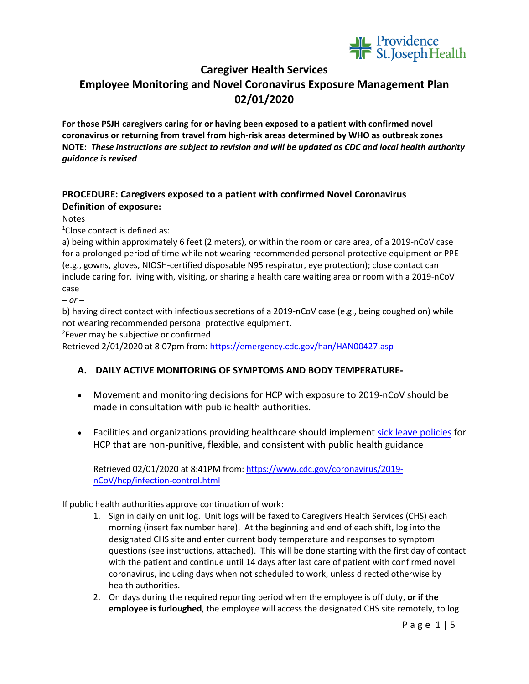

## **Caregiver Health Services**

# **Employee Monitoring and Novel Coronavirus Exposure Management Plan 02/01/2020**

**For those PSJH caregivers caring for or having been exposed to a patient with confirmed novel coronavirus or returning from travel from high-risk areas determined by WHO as outbreak zones NOTE:** *These instructions are subject to revision and will be updated as CDC and local health authority guidance is revised*

### **PROCEDURE: Caregivers exposed to a patient with confirmed Novel Coronavirus Definition of exposure:**

#### Notes

1 Close contact is defined as:

a) being within approximately 6 feet (2 meters), or within the room or care area, of a 2019-nCoV case for a prolonged period of time while not wearing recommended personal protective equipment or PPE (e.g., gowns, gloves, NIOSH-certified disposable N95 respirator, eye protection); close contact can include caring for, living with, visiting, or sharing a health care waiting area or room with a 2019-nCoV case

– *or –*

b) having direct contact with infectious secretions of a 2019-nCoV case (e.g., being coughed on) while not wearing recommended personal protective equipment.

2 Fever may be subjective or confirmed

Retrieved 2/01/2020 at 8:07pm from:<https://emergency.cdc.gov/han/HAN00427.asp>

## **A. DAILY ACTIVE MONITORING OF SYMPTOMS AND BODY TEMPERATURE-**

- Movement and monitoring decisions for HCP with exposure to 2019-nCoV should be made in consultation with public health authorities.
- Facilities and organizations providing healthcare should implement [sick leave policies](https://www.cdc.gov/infectioncontrol/guidelines/healthcare-personnel/index.html) for HCP that are non-punitive, flexible, and consistent with public health guidance

Retrieved 02/01/2020 at 8:41PM from: [https://www.cdc.gov/coronavirus/2019](https://www.cdc.gov/coronavirus/2019-nCoV/hcp/infection-control.html) [nCoV/hcp/infection-control.html](https://www.cdc.gov/coronavirus/2019-nCoV/hcp/infection-control.html)

If public health authorities approve continuation of work:

- 1. Sign in daily on unit log. Unit logs will be faxed to Caregivers Health Services (CHS) each morning (insert fax number here). At the beginning and end of each shift, log into the designated CHS site and enter current body temperature and responses to symptom questions (see instructions, attached). This will be done starting with the first day of contact with the patient and continue until 14 days after last care of patient with confirmed novel coronavirus, including days when not scheduled to work, unless directed otherwise by health authorities.
- 2. On days during the required reporting period when the employee is off duty, **or if the employee is furloughed**, the employee will access the designated CHS site remotely, to log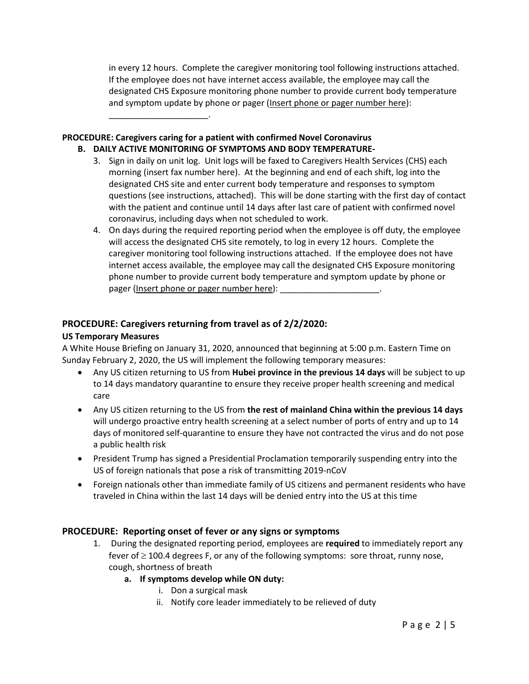in every 12 hours. Complete the caregiver monitoring tool following instructions attached. If the employee does not have internet access available, the employee may call the designated CHS Exposure monitoring phone number to provide current body temperature and symptom update by phone or pager (Insert phone or pager number here):

#### **PROCEDURE: Caregivers caring for a patient with confirmed Novel Coronavirus**

\_\_\_\_\_\_\_\_\_\_\_\_\_\_\_\_\_\_\_\_\_.

#### **B. DAILY ACTIVE MONITORING OF SYMPTOMS AND BODY TEMPERATURE-**

- 3. Sign in daily on unit log. Unit logs will be faxed to Caregivers Health Services (CHS) each morning (insert fax number here). At the beginning and end of each shift, log into the designated CHS site and enter current body temperature and responses to symptom questions (see instructions, attached). This will be done starting with the first day of contact with the patient and continue until 14 days after last care of patient with confirmed novel coronavirus, including days when not scheduled to work.
- 4. On days during the required reporting period when the employee is off duty, the employee will access the designated CHS site remotely, to log in every 12 hours. Complete the caregiver monitoring tool following instructions attached. If the employee does not have internet access available, the employee may call the designated CHS Exposure monitoring phone number to provide current body temperature and symptom update by phone or pager (Insert phone or pager number here):

### **PROCEDURE: Caregivers returning from travel as of 2/2/2020:**

#### **US Temporary Measures**

A White House Briefing on January 31, 2020, announced that beginning at 5:00 p.m. Eastern Time on Sunday February 2, 2020, the US will implement the following temporary measures:

- Any US citizen returning to US from **Hubei province in the previous 14 days** will be subject to up to 14 days mandatory quarantine to ensure they receive proper health screening and medical care
- Any US citizen returning to the US from **the rest of mainland China within the previous 14 days** will undergo proactive entry health screening at a select number of ports of entry and up to 14 days of monitored self-quarantine to ensure they have not contracted the virus and do not pose a public health risk
- President Trump has signed a Presidential Proclamation temporarily suspending entry into the US of foreign nationals that pose a risk of transmitting 2019-nCoV
- Foreign nationals other than immediate family of US citizens and permanent residents who have traveled in China within the last 14 days will be denied entry into the US at this time

#### **PROCEDURE: Reporting onset of fever or any signs or symptoms**

- 1. During the designated reporting period, employees are **required** to immediately report any fever of  $\geq$  100.4 degrees F, or any of the following symptoms: sore throat, runny nose, cough, shortness of breath
	- **a. If symptoms develop while ON duty:**
		- i. Don a surgical mask
		- ii. Notify core leader immediately to be relieved of duty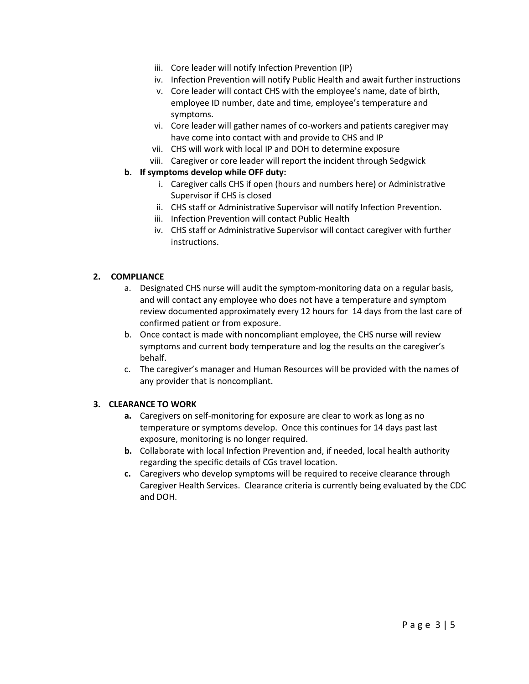- iii. Core leader will notify Infection Prevention (IP)
- iv. Infection Prevention will notify Public Health and await further instructions
- v. Core leader will contact CHS with the employee's name, date of birth, employee ID number, date and time, employee's temperature and symptoms.
- vi. Core leader will gather names of co-workers and patients caregiver may have come into contact with and provide to CHS and IP
- vii. CHS will work with local IP and DOH to determine exposure
- viii. Caregiver or core leader will report the incident through Sedgwick

#### **b. If symptoms develop while OFF duty:**

- i. Caregiver calls CHS if open (hours and numbers here) or Administrative Supervisor if CHS is closed
- ii. CHS staff or Administrative Supervisor will notify Infection Prevention.
- iii. Infection Prevention will contact Public Health
- iv. CHS staff or Administrative Supervisor will contact caregiver with further instructions.

#### **2. COMPLIANCE**

- a. Designated CHS nurse will audit the symptom-monitoring data on a regular basis, and will contact any employee who does not have a temperature and symptom review documented approximately every 12 hours for 14 days from the last care of confirmed patient or from exposure.
- b. Once contact is made with noncompliant employee, the CHS nurse will review symptoms and current body temperature and log the results on the caregiver's behalf.
- c. The caregiver's manager and Human Resources will be provided with the names of any provider that is noncompliant.

#### **3. CLEARANCE TO WORK**

- **a.** Caregivers on self-monitoring for exposure are clear to work as long as no temperature or symptoms develop. Once this continues for 14 days past last exposure, monitoring is no longer required.
- **b.** Collaborate with local Infection Prevention and, if needed, local health authority regarding the specific details of CGs travel location.
- **c.** Caregivers who develop symptoms will be required to receive clearance through Caregiver Health Services. Clearance criteria is currently being evaluated by the CDC and DOH.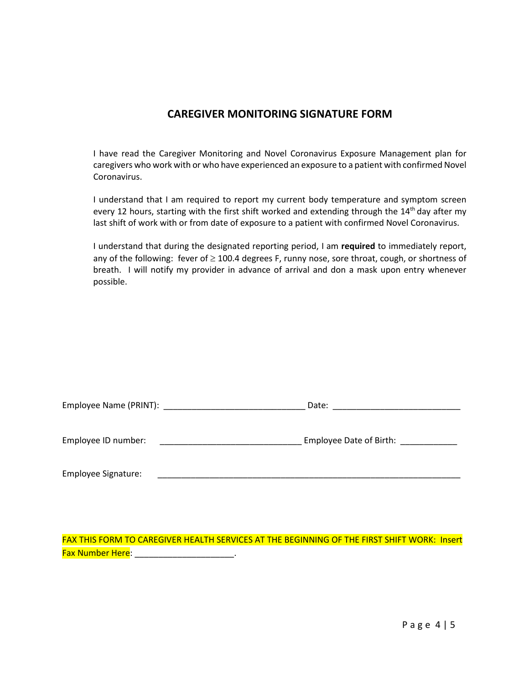## **CAREGIVER MONITORING SIGNATURE FORM**

I have read the Caregiver Monitoring and Novel Coronavirus Exposure Management plan for caregivers who work with or who have experienced an exposure to a patient with confirmed Novel Coronavirus.

I understand that I am required to report my current body temperature and symptom screen every 12 hours, starting with the first shift worked and extending through the  $14<sup>th</sup>$  day after my last shift of work with or from date of exposure to a patient with confirmed Novel Coronavirus.

I understand that during the designated reporting period, I am **required** to immediately report, any of the following: fever of  $\geq$  100.4 degrees F, runny nose, sore throat, cough, or shortness of breath. I will notify my provider in advance of arrival and don a mask upon entry whenever possible.

|                     | Date:                   |
|---------------------|-------------------------|
| Employee ID number: | Employee Date of Birth: |
| Employee Signature: |                         |

FAX THIS FORM TO CAREGIVER HEALTH SERVICES AT THE BEGINNING OF THE FIRST SHIFT WORK: Insert Fax Number Here: \_\_\_\_\_\_\_\_\_\_\_\_\_\_\_\_\_\_\_\_\_\_\_\_.